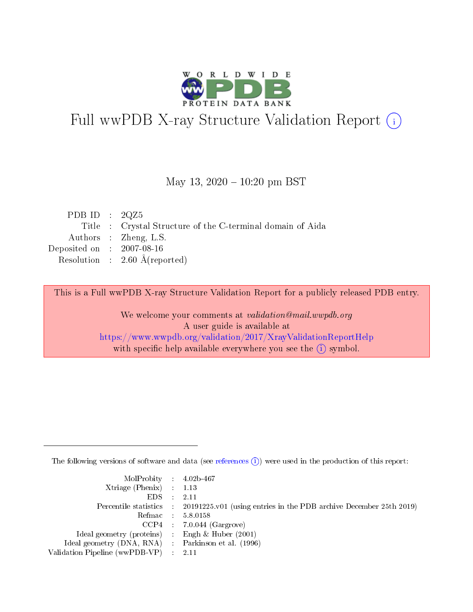

# Full wwPDB X-ray Structure Validation Report (i)

#### May 13,  $2020 - 10:20$  pm BST

| PDB ID : $2QZ5$             |                                                            |
|-----------------------------|------------------------------------------------------------|
|                             | Title : Crystal Structure of the C-terminal domain of Aida |
|                             | Authors : Zheng, L.S.                                      |
| Deposited on : $2007-08-16$ |                                                            |
|                             | Resolution : $2.60 \text{ Å}$ (reported)                   |
|                             |                                                            |

This is a Full wwPDB X-ray Structure Validation Report for a publicly released PDB entry.

We welcome your comments at validation@mail.wwpdb.org A user guide is available at <https://www.wwpdb.org/validation/2017/XrayValidationReportHelp> with specific help available everywhere you see the  $(i)$  symbol.

The following versions of software and data (see [references](https://www.wwpdb.org/validation/2017/XrayValidationReportHelp#references)  $(i)$ ) were used in the production of this report:

| MolProbity : $4.02b-467$                            |                                                                                            |
|-----------------------------------------------------|--------------------------------------------------------------------------------------------|
| Xtriage (Phenix) $: 1.13$                           |                                                                                            |
| EDS -                                               | 2.11                                                                                       |
|                                                     | Percentile statistics : 20191225.v01 (using entries in the PDB archive December 25th 2019) |
|                                                     | Refmac 58.0158                                                                             |
|                                                     | $CCP4$ 7.0.044 (Gargrove)                                                                  |
| Ideal geometry (proteins) : Engh $\&$ Huber (2001)  |                                                                                            |
| Ideal geometry (DNA, RNA) : Parkinson et al. (1996) |                                                                                            |
| Validation Pipeline (wwPDB-VP)                      | -2.11                                                                                      |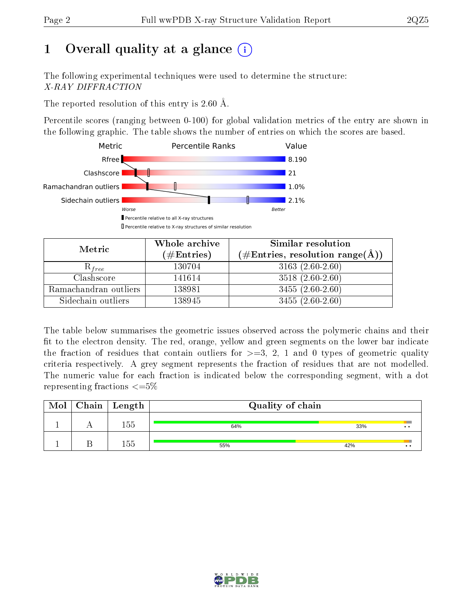# 1 [O](https://www.wwpdb.org/validation/2017/XrayValidationReportHelp#overall_quality)verall quality at a glance  $(i)$

The following experimental techniques were used to determine the structure: X-RAY DIFFRACTION

The reported resolution of this entry is 2.60 Å.

Percentile scores (ranging between 0-100) for global validation metrics of the entry are shown in the following graphic. The table shows the number of entries on which the scores are based.



| Metric                | Whole archive | Similar resolution                                        |
|-----------------------|---------------|-----------------------------------------------------------|
|                       | $(\#Entries)$ | $(\#\text{Entries}, \text{resolution range}(\text{\AA}))$ |
| $\mathcal{R}_{free}$  | 130704        | $3163(2.60-2.60)$                                         |
| Clashscore            | 141614        | $3518(2.60-2.60)$                                         |
| Ramachandran outliers | 138981        | $3455(2.60-2.60)$                                         |
| Sidechain outliers    | 138945        | $3455(2.60-2.60)$                                         |

The table below summarises the geometric issues observed across the polymeric chains and their fit to the electron density. The red, orange, yellow and green segments on the lower bar indicate the fraction of residues that contain outliers for  $>=3, 2, 1$  and 0 types of geometric quality criteria respectively. A grey segment represents the fraction of residues that are not modelled. The numeric value for each fraction is indicated below the corresponding segment, with a dot representing fractions  $\epsilon = 5\%$ 

| Mol | $C$ hain   Length | Quality of chain |     |                 |
|-----|-------------------|------------------|-----|-----------------|
|     | 155               | 64%              | 33% | $\cdot$ $\cdot$ |
|     | 155               | 55%              | 42% | $\cdot\cdot$    |

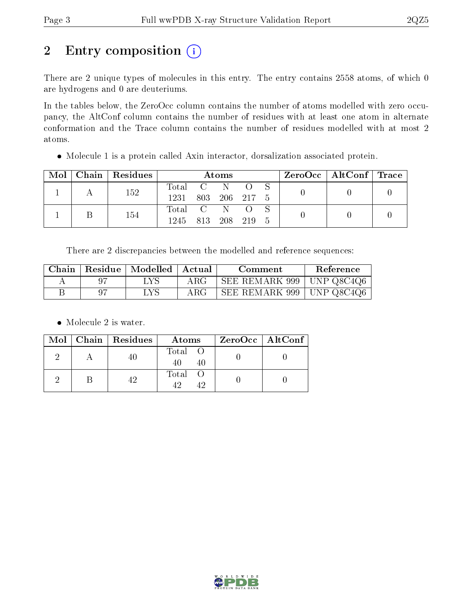# 2 Entry composition (i)

There are 2 unique types of molecules in this entry. The entry contains 2558 atoms, of which 0 are hydrogens and 0 are deuteriums.

In the tables below, the ZeroOcc column contains the number of atoms modelled with zero occupancy, the AltConf column contains the number of residues with at least one atom in alternate conformation and the Trace column contains the number of residues modelled with at most 2 atoms.

Molecule 1 is a protein called Axin interactor, dorsalization associated protein.

| Mol | Chain   Residues | Atoms              |  |               |  |  | $ZeroOcc \mid AltConf \mid Trace \mid$ |  |
|-----|------------------|--------------------|--|---------------|--|--|----------------------------------------|--|
|     | 152              | Total C N          |  |               |  |  |                                        |  |
|     |                  | 1231               |  | 803 206 217 5 |  |  |                                        |  |
|     | 154              | Total C N O        |  |               |  |  |                                        |  |
|     |                  | 1245 813 208 219 5 |  |               |  |  |                                        |  |

There are 2 discrepancies between the modelled and reference sequences:

| Chain | Residue | $\mid$ Modelled $\mid$ | - Actual   | Comment                     | <b>Reference</b>   |
|-------|---------|------------------------|------------|-----------------------------|--------------------|
|       |         | LYS                    | $\rm{ARG}$ | SEE REMARK 999   UNP Q8C4Q6 |                    |
|       |         | - LYS                  | $\rm{ARG}$ | SEE REMARK 999              | $\vert$ UNP Q8C4Q6 |

• Molecule 2 is water.

|  | $Mol$   Chain   Residues | Atoms         | ZeroOcc   AltConf |
|--|--------------------------|---------------|-------------------|
|  | -40.                     | Total O<br>40 |                   |
|  |                          | Total O       |                   |

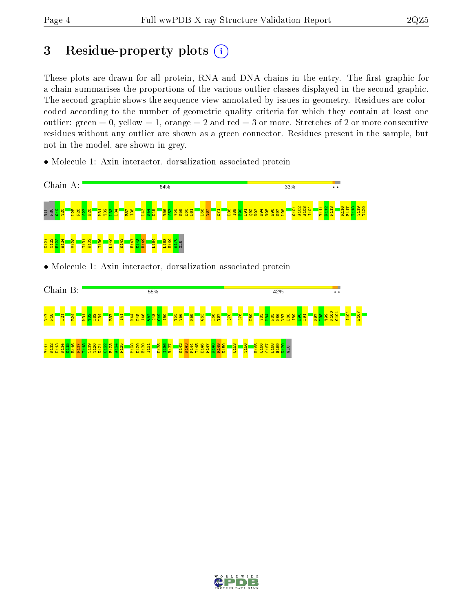# 3 Residue-property plots  $(i)$

These plots are drawn for all protein, RNA and DNA chains in the entry. The first graphic for a chain summarises the proportions of the various outlier classes displayed in the second graphic. The second graphic shows the sequence view annotated by issues in geometry. Residues are colorcoded according to the number of geometric quality criteria for which they contain at least one outlier: green  $= 0$ , yellow  $= 1$ , orange  $= 2$  and red  $= 3$  or more. Stretches of 2 or more consecutive residues without any outlier are shown as a green connector. Residues present in the sample, but not in the model, are shown in grey.

• Molecule 1: Axin interactor, dorsalization associated protein



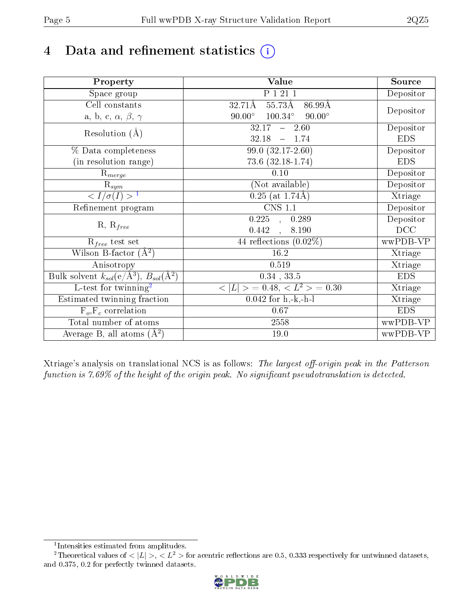# 4 Data and refinement statistics  $(i)$

| Property                                                             | Value                                                    | Source     |
|----------------------------------------------------------------------|----------------------------------------------------------|------------|
| Space group                                                          | P 1 21 1                                                 | Depositor  |
| Cell constants                                                       | $55.73\text{\AA}$<br>$32.71\text{\AA}$<br>86.99Å         |            |
| a, b, c, $\alpha$ , $\beta$ , $\gamma$                               | $100.34^{\circ}$<br>$90.00^\circ$<br>$90.00^\circ$       | Depositor  |
| Resolution $(A)$                                                     | $-2.60$<br>32.17                                         | Depositor  |
|                                                                      | $-1.74$<br>32.18                                         | <b>EDS</b> |
| % Data completeness                                                  | 99.0 (32.17-2.60)                                        | Depositor  |
| (in resolution range)                                                | $73.6$ $(32.18-1.74)$                                    | <b>EDS</b> |
| $R_{merge}$                                                          | 0.10                                                     | Depositor  |
| $\mathrm{R}_{sym}$                                                   | (Not available)                                          | Depositor  |
| $\langle I/\sigma(I) \rangle^{-1}$                                   | $0.25$ (at 1.74Å)                                        | Xtriage    |
| Refinement program                                                   | <b>CNS 1.1</b>                                           | Depositor  |
| $R, R_{free}$                                                        | $\overline{0.225}$ ,<br>0.289                            | Depositor  |
|                                                                      | 0.442<br>8.190<br>$\overline{a}$                         | DCC        |
| $R_{free}$ test set                                                  | 44 reflections $(0.02\%)$                                | wwPDB-VP   |
| Wilson B-factor $(A^2)$                                              | 16.2                                                     | Xtriage    |
| Anisotropy                                                           | 0.519                                                    | Xtriage    |
| Bulk solvent $k_{sol}(e/\mathring{A}^3)$ , $B_{sol}(\mathring{A}^2)$ | $0.34$ , $33.5$                                          | <b>EDS</b> |
| $\overline{L-test for}$ twinning <sup>2</sup>                        | $\langle  L  \rangle = 0.48, \langle L^2 \rangle = 0.30$ | Xtriage    |
| Estimated twinning fraction                                          | $\overline{0.042}$ for h,-k,-h-l                         | Xtriage    |
| $F_o, F_c$ correlation                                               | 0.67                                                     | <b>EDS</b> |
| Total number of atoms                                                | 2558                                                     | wwPDB-VP   |
| Average B, all atoms $(A^2)$                                         | $19.0\,$                                                 | wwPDB-VP   |

Xtriage's analysis on translational NCS is as follows: The largest off-origin peak in the Patterson function is  $7.69\%$  of the height of the origin peak. No significant pseudotranslation is detected.

<sup>&</sup>lt;sup>2</sup>Theoretical values of  $\langle |L| \rangle$ ,  $\langle L^2 \rangle$  for acentric reflections are 0.5, 0.333 respectively for untwinned datasets, and 0.375, 0.2 for perfectly twinned datasets.



<span id="page-4-1"></span><span id="page-4-0"></span><sup>1</sup> Intensities estimated from amplitudes.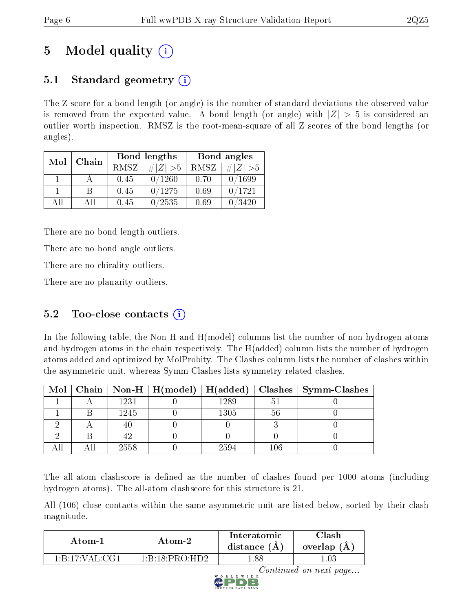# 5 Model quality  $(i)$

# 5.1 Standard geometry  $\overline{()}$

The Z score for a bond length (or angle) is the number of standard deviations the observed value is removed from the expected value. A bond length (or angle) with  $|Z| > 5$  is considered an outlier worth inspection. RMSZ is the root-mean-square of all Z scores of the bond lengths (or angles).

| Mol          | Chain |      | Bond lengths                 | Bond angles |             |
|--------------|-------|------|------------------------------|-------------|-------------|
|              |       | RMSZ | $\vert \# \vert Z \vert > 5$ | RMSZ        | # $ Z  > 5$ |
| $\mathbf{1}$ |       | 0.45 | 0/1260                       | 0.70        | 0/1699      |
|              | В     | 0.45 | 0/1275                       | 0.69        | 0/1721      |
| AH           | Αll   | 0.45 | 0/2535                       | 0.69        | 0/3420      |

There are no bond length outliers.

There are no bond angle outliers.

There are no chirality outliers.

There are no planarity outliers.

## $5.2$  Too-close contacts  $(i)$

In the following table, the Non-H and H(model) columns list the number of non-hydrogen atoms and hydrogen atoms in the chain respectively. The H(added) column lists the number of hydrogen atoms added and optimized by MolProbity. The Clashes column lists the number of clashes within the asymmetric unit, whereas Symm-Clashes lists symmetry related clashes.

|  |      |      |     | Mol   Chain   Non-H   H(model)   H(added)   Clashes   Symm-Clashes |
|--|------|------|-----|--------------------------------------------------------------------|
|  | 1231 | 1289 |     |                                                                    |
|  | 1245 | 1305 | -56 |                                                                    |
|  |      |      |     |                                                                    |
|  |      |      |     |                                                                    |
|  | 2558 | 2594 | 106 |                                                                    |

The all-atom clashscore is defined as the number of clashes found per 1000 atoms (including hydrogen atoms). The all-atom clashscore for this structure is 21.

All (106) close contacts within the same asymmetric unit are listed below, sorted by their clash magnitude.

| Atom-2                                                    |                                          | Interatomic    | $\cap$ lash |
|-----------------------------------------------------------|------------------------------------------|----------------|-------------|
| Atom-1                                                    |                                          | distance $(A)$ | overlap (A) |
| $1 \cdot B \cdot 17 \cdot VA$ $1 \cdot C$ $\overline{G1}$ | $1 \cdot B \cdot 18 \cdot PRO \cdot HD2$ | .88            | .03         |

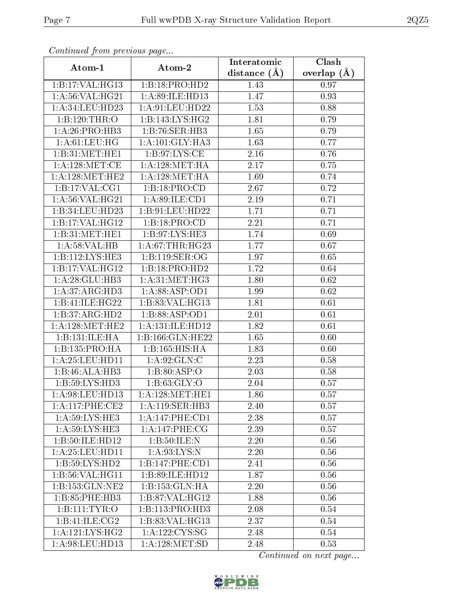| Commuca from previous page           |                     | Interatomic       | Clash         |
|--------------------------------------|---------------------|-------------------|---------------|
| Atom-1                               | Atom-2              | distance $(A)$    | overlap $(A)$ |
| 1:B:17:VAL:HG13                      | 1:B:18:PRO:HD2      | 1.43              | 0.97          |
| 1: A:56: VAL:HG21                    | 1:A:89:ILE:HD13     | 1.47              | 0.93          |
| 1: A:34: LEU:HD23                    | 1: A:91: LEU: HD22  | 1.53              | 0.88          |
| 1:B:120:THR:O                        | 1:B:143:LYS:HG2     | 1.81              | 0.79          |
| 1: A:26: PRO:HB3                     | 1:B:76:SER:HB3      | 1.65              | 0.79          |
| 1: A:61:LEU:HG                       | 1: A:101: GLY:HA3   | 1.63              | 0.77          |
| 1:B:31:MET:HE1                       | 1: B:97: LYS: CE    | 2.16              | 0.76          |
| $1:A:128:MET:\overline{\mathrm{CE}}$ | 1: A: 128: MET: HA  | 2.17              | 0.75          |
| 1: A:128: MET:HE2                    | 1: A: 128: MET: HA  | 1.69              | 0.74          |
| 1: B: 17: VAL: CG1                   | 1:B:18:PRO:CD       | 2.67              | 0.72          |
| 1: A:56: VAL:HG21                    | 1: A:89: ILE: CD1   | 2.19              | 0.71          |
| 1:B:34:LEU:HD23                      | 1:B:91:LEU:HD22     | 1.71              | 0.71          |
| 1:B:17:VAL:HG12                      | 1:B:18:PRO:CD       | 2.21              | 0.71          |
| 1:B:31:MET:HE1                       | 1:B:97:LYS:HE3      | 1.74              | 0.69          |
| 1: A:58:VAL:HB                       | 1: A:67:THR:HG23    | 1.77              | 0.67          |
| 1:B:112:LYS:HE3                      | 1:Bi:119:SER:OG     | 1.97              | 0.65          |
| 1:B:17:VAL:HG12                      | 1:B:18:PRO:HD2      | $\overline{1}.72$ | 0.64          |
| 1:A:28:GLU:HB3                       | 1: A:31: MET:HG3    | 1.80              | 0.62          |
| 1:A:37:ARG:HD3                       | 1:A:88:ASP:OD1      | 1.99              | 0.62          |
| 1:B:41:ILE:HG22                      | 1:B:83:VAL:HG13     | 1.81              | 0.61          |
| 1:B:37:ARG:HD2                       | 1:B:88:ASP:OD1      | $\overline{2.0}1$ | 0.61          |
| 1: A:128: MET:HE2                    | 1:A:131:ILE:HD12    | 1.82              | 0.61          |
| 1:B:131:ILE:HA                       | 1:B:166:GLN:HE22    | 1.65              | 0.60          |
| 1:B:135:PRO:HA                       | 1:B:165:HIS:HA      | 1.83              | 0.60          |
| 1: A:25:LEU:HD11                     | 1: A:92: GLN:C      | 2.23              | 0.58          |
| 1:B:46:ALA:HB3                       | 1:B:80:ASP:O        | 2.03              | 0.58          |
| 1:B:59:LYS:HD3                       | 1: B:63: GLY:O      | 2.04              | 0.57          |
| 1: A:98: LEU: HD13                   | 1: A: 128: MET: HE1 | 1.86              | 0.57          |
| $1:A:117:PHE:\overline{\text{CE2}}$  | 1: A:119: SER: HB3  | 2.40              | 0.57          |
| 1: A:59: LYS: HE3                    | 1:A:147:PHE:CD1     | 2.38              | 0.57          |
| $1:\overline{A:59:LYS:HE3}$          | 1: A:147:PHE:CG     | 2.39              | 0.57          |
| 1:B:50:ILE: HD12                     | 1:B:50:ILE:N        | 2.20              | 0.56          |
| 1: A:25:LEU:HD11                     | 1: A:93: LYS:N      | 2.20              | 0.56          |
| 1:B:59:LYS:HD2                       | 1:B:147:PHE:CD1     | 2.41              | 0.56          |
| 1:B:56:VAL:HG11                      | 1:B:89:ILE:HD12     | 1.87              | 0.56          |
| 1:B:153:GLN:NE2                      | 1:B:153:GLN:HA      | 2.20              | 0.56          |
| 1:B:85:PHE:HB3                       | 1:B:87:VAL:HG12     | 1.88              | 0.56          |
| 1:B:111:TYR:O                        | 1:B:113:PRO:HD3     | 2.08              | 0.54          |
| 1:B:41:ILE:CG2                       | 1:B:83:VAL:HG13     | 2.37              | 0.54          |
| 1:A:121:LYS:HG2                      | 1: A: 122: CYS: SG  | 2.48              | 0.54          |
| 1: A:98: LEU: HD13                   | 1: A: 128: MET: SD  | 2.48              | 0.53          |

Continued from previous page.

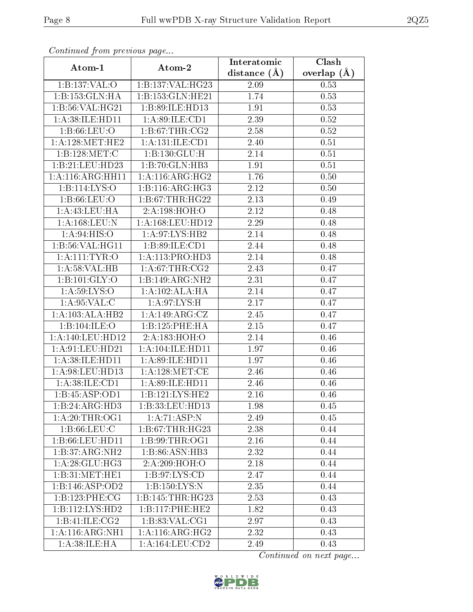| Continuea from previous page<br>Clash<br>Interatomic |                      |                |               |  |  |
|------------------------------------------------------|----------------------|----------------|---------------|--|--|
| Atom-1                                               | Atom-2               | distance $(A)$ | overlap $(A)$ |  |  |
| 1:B:137:VAL:O                                        | 1:B:137:VAL:HG23     | 2.09           | 0.53          |  |  |
| 1:B:153:GLN:HA                                       | 1:B:153:GLN:HE21     | 1.74           | 0.53          |  |  |
| 1:B:56:VAL:HG21                                      | 1:B:89:ILE:HD13      | 1.91           | 0.53          |  |  |
| 1:A:38:ILE:HD11                                      | 1: A:89: ILE: CD1    | 2.39           | 0.52          |  |  |
| 1: B:66: LEU:O                                       | 1:B:67:THR:CG2       | 2.58           | 0.52          |  |  |
| 1: A:128:MET:HE2                                     | 1:A:131:ILE:CD1      | 2.40           | 0.51          |  |  |
| 1:B:128:MET:C                                        | 1:B:130:GLU:H        | 2.14           | 0.51          |  |  |
| 1:B:21:LEU:HD23                                      | 1:B:70:GLN:HB3       | 1.91           | 0.51          |  |  |
| 1:A:116:ARG:HH11                                     | 1: A:116: ARG: HG2   | 1.76           | 0.50          |  |  |
| 1:Bi:114:LYS:O                                       | 1:B:116:ARG:HG3      | 2.12           | 0.50          |  |  |
| 1: B:66:LEU:O                                        | 1:B:67:THR:HG22      | 2.13           | 0.49          |  |  |
| $1: A: 43: \text{LEU}: \text{HA}$                    | 2:A:198:HOH:O        | 2.12           | 0.48          |  |  |
| 1:A:168:LEU:N                                        | 1:A:168:LEU:HD12     | 2.29           | 0.48          |  |  |
| 1: A:94: HIS:O                                       | 1:A:97:LYS:HB2       | 2.14           | 0.48          |  |  |
| 1:B:56:VAL:HG11                                      | 1:B:89:ILE:CD1       | 2.44           | 0.48          |  |  |
| 1: A: 111: TYR: O                                    | 1:A:113:PRO:HD3      | 2.14           | 0.48          |  |  |
| 1: A:58: VAL:HB                                      | 1: A:67:THR:CG2      | 2.43           | 0.47          |  |  |
| 1:B:101:GLY:O                                        | 1:B:149:ARG:NH2      | 2.31           | 0.47          |  |  |
| 1: A:59: LYS:O                                       | 1:A:102:ALA:HA       | 2.14           | 0.47          |  |  |
| 1: A:95: VAL:C                                       | 1: A:97: LYS:H       | 2.17           | 0.47          |  |  |
| 1:A:103:ALA:HB2                                      | 1:A:149:ARG:CZ       | 2.45           | 0.47          |  |  |
| 1:B:104:ILE:O                                        | 1:B:125:PHE:HA       | 2.15           | 0.47          |  |  |
| 1:A:140:LEU:HD12                                     | 2:A:183:HOH:O        | 2.14           | 0.46          |  |  |
| 1: A:91: LEU: HD21                                   | 1: A: 104: ILE: HD11 | 1.97           | 0.46          |  |  |
| 1:A:38:ILE:HD11                                      | 1:A:89:ILE:HD11      | 1.97           | 0.46          |  |  |
| 1: A:98: LEU: HD13                                   | 1: A:128:MET:CE      | 2.46           | 0.46          |  |  |
| 1: A:38: ILE: CD1                                    | 1:A:89:ILE:HD11      | 2.46           | 0.46          |  |  |
| 1:B:45:ASP:OD1                                       | $1:$ B:121:LYS:HE2   | 2.16           | 0.46          |  |  |
| $1:B:24:A\overline{RG:HD3}$                          | 1:B:33:LEU:HD13      | 1.98           | 0.45          |  |  |
| 1:A:20:THR:OG1                                       | 1:A:71:ASP:N         | 2.49           | 0.45          |  |  |
| 1: B:66:LEU:C                                        | 1:B:67:THR:HG23      | 2.38           | 0.44          |  |  |
| 1:B:66:LEU:HDI1                                      | 1:B:99:THR:OG1       | 2.16           | 0.44          |  |  |
| 1:B:37:ARG:NH2                                       | 1:B:86:ASN:HB3       | 2.32           | 0.44          |  |  |
| 1: A:28: GLU:HG3                                     | 2:A:209:HOH:O        | 2.18           | 0.44          |  |  |
| 1:B:31:MET:HE1                                       | 1: B:97: LYS:CD      | 2.47           | 0.44          |  |  |
| 1:B:146:ASP:OD2                                      | 1:B:150:LYS:N        | 2.35           | 0.44          |  |  |
| 1:B:123:PHE:CG                                       | 1:B:145:THR:HG23     | 2.53           | 0.43          |  |  |
| 1:B:112:LYS:HD2                                      | 1:B:117:PHE:HE2      | 1.82           | 0.43          |  |  |
| 1:B:41:ILE:CG2                                       | 1: B:83: VAL:CG1     | 2.97           | 0.43          |  |  |
| 1: A:116: ARG: NH1                                   | 1: A:116: ARG: HG2   | 2.32           | 0.43          |  |  |
| 1: A:38: ILE: HA                                     | 1: A: 164: LEU: CD2  | 2.49           | 0.43          |  |  |

Continued from previous page.

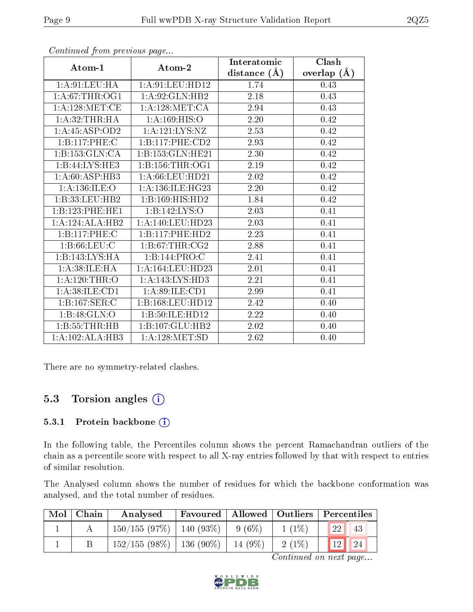|                  |                      | Interatomic    | Clash         |
|------------------|----------------------|----------------|---------------|
| Atom-1           | Atom-2               | distance $(A)$ | overlap $(A)$ |
| 1: A:91: LEU: HA | 1: A:91: LEU: HD12   | 1.74           | 0.43          |
| 1: A:67:THR:OG1  | 1:A:92:GLN:HB2       | 2.18           | 0.43          |
| 1: A:128:MET:CE  | 1: A:128:MET:CA      | 2.94           | 0.43          |
| 1:A:32:THR:HA    | 1: A: 169: HIS: O    | 2.20           | 0.42          |
| 1:A:45:ASP:OD2   | 1: A: 121: LYS: NZ   | 2.53           | 0.42          |
| 1:B:117:PHE:C    | 1:B:117:PHE:CD2      | 2.93           | 0.42          |
| 1:B:153:GLN:CA   | 1:B:153:GLN:HE21     | 2.30           | 0.42          |
| 1:B:44:LYS:HE3   | 1:B:156:THR:OG1      | 2.19           | 0.42          |
| 1: A:60: ASP:HB3 | 1: A:66:LEU:HD21     | 2.02           | 0.42          |
| 1: A:136: ILE: O | 1: A: 136: ILE: HG23 | 2.20           | 0.42          |
| 1:B:33:LEU:HB2   | 1:B:169:HIS:HD2      | 1.84           | 0.42          |
| 1:B:123:PHE:HE1  | 1:B:142:LYS:O        | 2.03           | 0.41          |
| 1:A:124:ALA:HB2  | 1:A:140:LEU:HD23     | 2.03           | 0.41          |
| 1:B:117:PHE:C    | 1:B:117:PHE:HD2      | 2.23           | 0.41          |
| 1: B:66:LEU:C    | 1: B:67:THR:CG2      | 2.88           | 0.41          |
| 1:B:143:LYS:HA   | 1:B:144:PRO:C        | 2.41           | 0.41          |
| 1: A:38: ILE: HA | 1:A:164:LEU:HD23     | 2.01           | 0.41          |
| 1: A:120:THR:O   | 1: A:143: LYS: HD3   | 2.21           | 0.41          |
| 1:A:38:ILE:CD1   | 1:A:89:ILE:CD1       | 2.99           | 0.41          |
| 1:B:167:SER:C    | 1:B:168:LEU:HD12     | 2.42           | 0.40          |
| 1:B:48:GLN:O     | 1:B:50:ILE:HD12      | 2.22           | 0.40          |
| 1:B:55:THR:HB    | 1:B:107:GLU:HB2      | 2.02           | 0.40          |
| 1:A:102:ALA:HB3  | 1: A: 128: MET: SD   | 2.62           | 0.40          |

Continued from previous page...

There are no symmetry-related clashes.

### 5.3 Torsion angles  $(i)$

#### 5.3.1 Protein backbone (i)

In the following table, the Percentiles column shows the percent Ramachandran outliers of the chain as a percentile score with respect to all X-ray entries followed by that with respect to entries of similar resolution.

The Analysed column shows the number of residues for which the backbone conformation was analysed, and the total number of residues.

| $\text{Mol}$ | ∣ Chain | Analysed                      |         |          | Favoured   Allowed   Outliers   Percentiles |
|--------------|---------|-------------------------------|---------|----------|---------------------------------------------|
|              |         | $150/155$ (97\%)   140 (93\%) | 9(6%)   | $1(1\%)$ | <b>22</b><br>43                             |
|              |         | $152/155$ (98\%)   136 (90\%) | 14 (9%) | $2(1\%)$ | 12 <br>$\parallel$ 24                       |

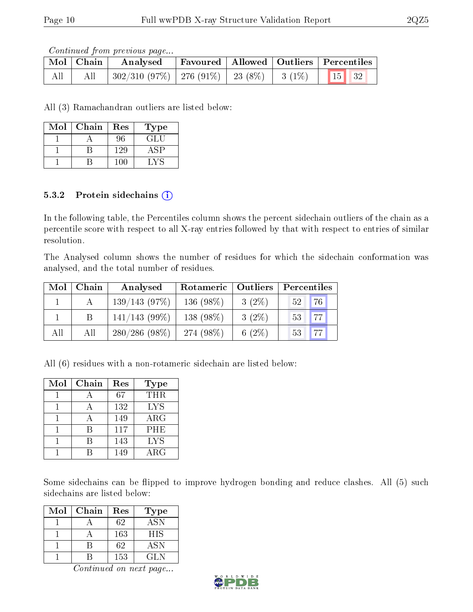Continued from previous page...

|     | Mol Chain | Analysed                                                                      |  | Favoured   Allowed   Outliers   Percentiles |
|-----|-----------|-------------------------------------------------------------------------------|--|---------------------------------------------|
| All |           | $^+$ 302/310 (97%) $\mid$ 276 (91%) $\mid$ 23 (8%) $\mid$ 3 (1%) $\mid$ 15 32 |  |                                             |

All (3) Ramachandran outliers are listed below:

| Mol | Chain | Res | Type       |
|-----|-------|-----|------------|
|     |       | 96  | <b>GLU</b> |
|     |       | 129 | . SP       |
|     |       |     | . v s      |

#### 5.3.2 Protein sidechains  $(i)$

In the following table, the Percentiles column shows the percent sidechain outliers of the chain as a percentile score with respect to all X-ray entries followed by that with respect to entries of similar resolution.

The Analysed column shows the number of residues for which the sidechain conformation was analysed, and the total number of residues.

| Mol | Chain | Analysed         | Rotameric    | $\mid$ Outliers | Percentiles |
|-----|-------|------------------|--------------|-----------------|-------------|
|     |       | 139/143(97%)     | 136 $(98\%)$ | $3(2\%)$        | 76<br>52    |
|     |       | $141/143$ (99\%) | 138 (98%)    | $3(2\%)$        | 77<br>53    |
| All | All   | $280/286(98\%)$  | 274 (98\%)   | 6 $(2%)$        | 77<br>53    |

All (6) residues with a non-rotameric sidechain are listed below:

| Mol | Chain | Res | <b>Type</b> |
|-----|-------|-----|-------------|
|     |       | 67  | THR         |
|     |       | 132 | <b>LYS</b>  |
|     |       | 149 | $\rm{ARG}$  |
|     | R     | 117 | <b>PHE</b>  |
|     |       | 143 | <b>LYS</b>  |
|     |       | 149 | ARG         |

Some sidechains can be flipped to improve hydrogen bonding and reduce clashes. All (5) such sidechains are listed below:

| Mol | Chain | Res | <b>Type</b> |
|-----|-------|-----|-------------|
|     |       | 62  | <b>ASN</b>  |
|     |       | 163 | <b>HIS</b>  |
|     |       | 62  | <b>ASN</b>  |
|     |       | 153 | GL N        |

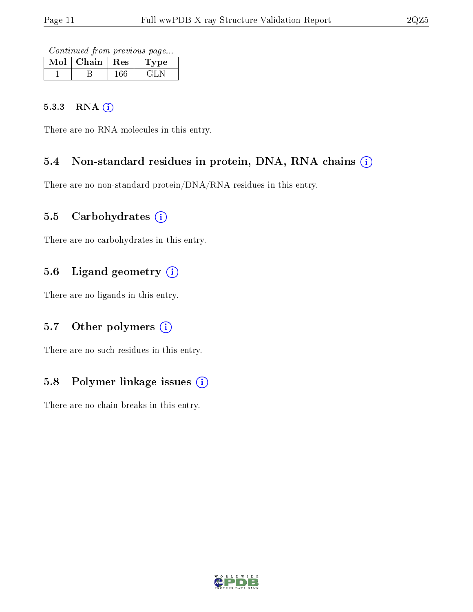Continued from previous page...

| Mol | Chain | $\mathbf{Res}$ | ype |
|-----|-------|----------------|-----|
|     |       |                |     |

#### 5.3.3 RNA [O](https://www.wwpdb.org/validation/2017/XrayValidationReportHelp#rna)i

There are no RNA molecules in this entry.

### 5.4 Non-standard residues in protein, DNA, RNA chains (i)

There are no non-standard protein/DNA/RNA residues in this entry.

#### 5.5 Carbohydrates  $(i)$

There are no carbohydrates in this entry.

## 5.6 Ligand geometry (i)

There are no ligands in this entry.

### 5.7 [O](https://www.wwpdb.org/validation/2017/XrayValidationReportHelp#nonstandard_residues_and_ligands)ther polymers (i)

There are no such residues in this entry.

### 5.8 Polymer linkage issues  $(i)$

There are no chain breaks in this entry.